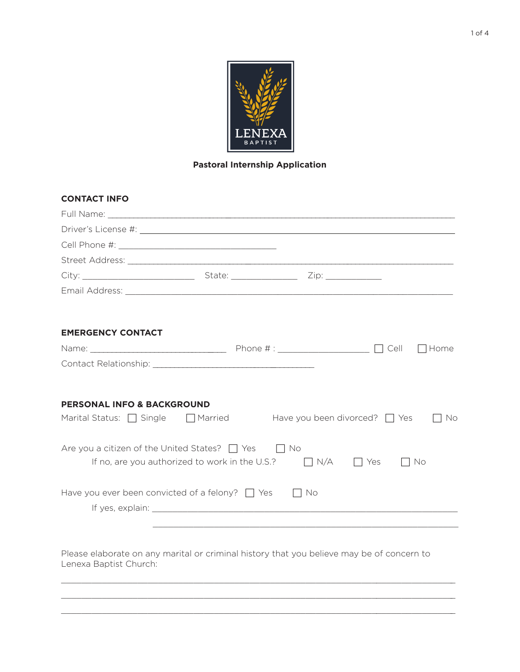

# **Pastoral Internship Application**

| <b>CONTACT INFO</b>                                                             |                                                           |           |                         |             |
|---------------------------------------------------------------------------------|-----------------------------------------------------------|-----------|-------------------------|-------------|
|                                                                                 |                                                           |           |                         |             |
|                                                                                 |                                                           |           |                         |             |
|                                                                                 |                                                           |           |                         |             |
|                                                                                 |                                                           |           |                         |             |
|                                                                                 |                                                           |           |                         |             |
|                                                                                 |                                                           |           |                         |             |
|                                                                                 |                                                           |           |                         |             |
| <b>EMERGENCY CONTACT</b>                                                        |                                                           |           |                         |             |
|                                                                                 |                                                           |           |                         | $\Box$ Home |
|                                                                                 |                                                           |           |                         |             |
| <b>PERSONAL INFO &amp; BACKGROUND</b>                                           |                                                           |           |                         |             |
|                                                                                 |                                                           |           |                         |             |
| Marital Status: $\Box$ Single $\Box$ Married Have you been divorced? $\Box$ Yes |                                                           |           |                         | ∏ No        |
| Are you a citizen of the United States? $\Box$ Yes $\Box$ No                    |                                                           |           |                         |             |
|                                                                                 | If no, are you authorized to work in the U.S.? $\Box$ N/A |           | $\Box$ Yes<br>$\Box$ No |             |
| Have you ever been convicted of a felony? $\Box$ Yes                            |                                                           | $\Box$ No |                         |             |

Please elaborate on any marital or criminal history that you believe may be of concern to Please elaborate on any marital or criminal history that you believe may be of concern to Lenexa Baptist Church:

 $\mathcal{L}_\mathcal{L} = \mathcal{L}_\mathcal{L} = \mathcal{L}_\mathcal{L} = \mathcal{L}_\mathcal{L} = \mathcal{L}_\mathcal{L} = \mathcal{L}_\mathcal{L} = \mathcal{L}_\mathcal{L} = \mathcal{L}_\mathcal{L} = \mathcal{L}_\mathcal{L} = \mathcal{L}_\mathcal{L} = \mathcal{L}_\mathcal{L} = \mathcal{L}_\mathcal{L} = \mathcal{L}_\mathcal{L} = \mathcal{L}_\mathcal{L} = \mathcal{L}_\mathcal{L} = \mathcal{L}_\mathcal{L} = \mathcal{L}_\mathcal{L}$  $\mathcal{L}_\mathcal{L} = \mathcal{L}_\mathcal{L} = \mathcal{L}_\mathcal{L} = \mathcal{L}_\mathcal{L} = \mathcal{L}_\mathcal{L} = \mathcal{L}_\mathcal{L} = \mathcal{L}_\mathcal{L} = \mathcal{L}_\mathcal{L} = \mathcal{L}_\mathcal{L} = \mathcal{L}_\mathcal{L} = \mathcal{L}_\mathcal{L} = \mathcal{L}_\mathcal{L} = \mathcal{L}_\mathcal{L} = \mathcal{L}_\mathcal{L} = \mathcal{L}_\mathcal{L} = \mathcal{L}_\mathcal{L} = \mathcal{L}_\mathcal{L}$  $\mathcal{L}_\mathcal{L} = \mathcal{L}_\mathcal{L} = \mathcal{L}_\mathcal{L} = \mathcal{L}_\mathcal{L} = \mathcal{L}_\mathcal{L} = \mathcal{L}_\mathcal{L} = \mathcal{L}_\mathcal{L} = \mathcal{L}_\mathcal{L} = \mathcal{L}_\mathcal{L} = \mathcal{L}_\mathcal{L} = \mathcal{L}_\mathcal{L} = \mathcal{L}_\mathcal{L} = \mathcal{L}_\mathcal{L} = \mathcal{L}_\mathcal{L} = \mathcal{L}_\mathcal{L} = \mathcal{L}_\mathcal{L} = \mathcal{L}_\mathcal{L}$ 

 $\mathcal{L}_\mathcal{L} = \{ \mathcal{L}_\mathcal{L} = \{ \mathcal{L}_\mathcal{L} = \{ \mathcal{L}_\mathcal{L} = \{ \mathcal{L}_\mathcal{L} = \{ \mathcal{L}_\mathcal{L} = \{ \mathcal{L}_\mathcal{L} = \{ \mathcal{L}_\mathcal{L} = \{ \mathcal{L}_\mathcal{L} = \{ \mathcal{L}_\mathcal{L} = \{ \mathcal{L}_\mathcal{L} = \{ \mathcal{L}_\mathcal{L} = \{ \mathcal{L}_\mathcal{L} = \{ \mathcal{L}_\mathcal{L} = \{ \mathcal{L}_\mathcal{$  $\mathcal{L}_\mathcal{L} = \{ \mathcal{L}_\mathcal{L} = \{ \mathcal{L}_\mathcal{L} = \{ \mathcal{L}_\mathcal{L} = \{ \mathcal{L}_\mathcal{L} = \{ \mathcal{L}_\mathcal{L} = \{ \mathcal{L}_\mathcal{L} = \{ \mathcal{L}_\mathcal{L} = \{ \mathcal{L}_\mathcal{L} = \{ \mathcal{L}_\mathcal{L} = \{ \mathcal{L}_\mathcal{L} = \{ \mathcal{L}_\mathcal{L} = \{ \mathcal{L}_\mathcal{L} = \{ \mathcal{L}_\mathcal{L} = \{ \mathcal{L}_\mathcal{$  $\mathcal{L}_\mathcal{L} = \{ \mathcal{L}_\mathcal{L} = \{ \mathcal{L}_\mathcal{L} = \{ \mathcal{L}_\mathcal{L} = \{ \mathcal{L}_\mathcal{L} = \{ \mathcal{L}_\mathcal{L} = \{ \mathcal{L}_\mathcal{L} = \{ \mathcal{L}_\mathcal{L} = \{ \mathcal{L}_\mathcal{L} = \{ \mathcal{L}_\mathcal{L} = \{ \mathcal{L}_\mathcal{L} = \{ \mathcal{L}_\mathcal{L} = \{ \mathcal{L}_\mathcal{L} = \{ \mathcal{L}_\mathcal{L} = \{ \mathcal{L}_\mathcal{$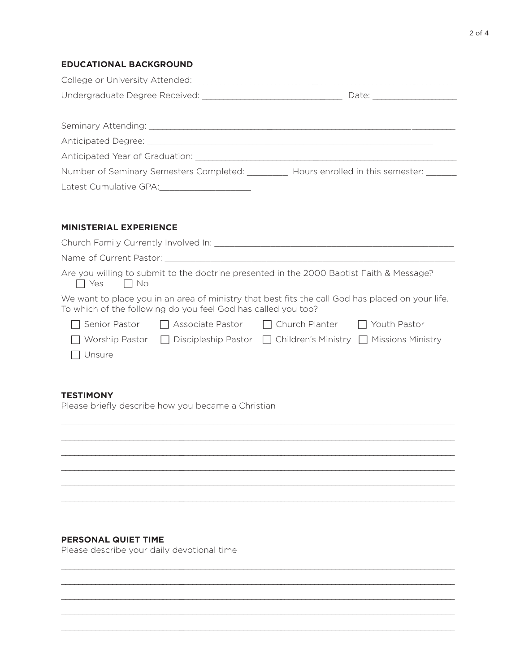## **EDUCATIONAL BACKGROUND**

| Anticipated Year of Graduation: Anticipated Year of Graduation:          |  |  |
|--------------------------------------------------------------------------|--|--|
| Number of Seminary Semesters Completed: Hours enrolled in this semester: |  |  |
|                                                                          |  |  |

### **MINISTERIAL EXPERIENCE**

| Church Family Currently Involved In:                                                                                                                              |                                                                                          |  |  |  |  |  |
|-------------------------------------------------------------------------------------------------------------------------------------------------------------------|------------------------------------------------------------------------------------------|--|--|--|--|--|
| Name of Current Pastor:                                                                                                                                           |                                                                                          |  |  |  |  |  |
| Yes<br>$\Box$ No                                                                                                                                                  | Are you willing to submit to the doctrine presented in the 2000 Baptist Faith & Message? |  |  |  |  |  |
| We want to place you in an area of ministry that best fits the call God has placed on your life.<br>To which of the following do you feel God has called you too? |                                                                                          |  |  |  |  |  |
|                                                                                                                                                                   | Senior Pastor $\Box$ Associate Pastor $\Box$ Church Planter $\Box$ Youth Pastor          |  |  |  |  |  |
| Worship Pastor                                                                                                                                                    | $\Box$ Discipleship Pastor $\Box$ Children's Ministry $\Box$ Missions Ministry           |  |  |  |  |  |
| Unsure                                                                                                                                                            |                                                                                          |  |  |  |  |  |

## **TESTIMONY**

Please briefly describe how you became a Christian



\_\_\_\_\_\_\_\_\_\_\_\_\_\_\_\_\_\_\_\_\_\_\_\_\_\_\_\_\_ \_\_\_\_\_\_\_\_\_\_\_\_\_\_\_\_\_\_\_\_\_\_\_\_\_\_\_\_\_\_\_\_\_\_\_\_\_\_\_\_\_\_\_\_\_\_\_\_\_\_\_\_\_\_\_\_\_\_\_\_\_\_\_\_ \_\_\_\_\_\_\_\_\_\_\_\_\_\_\_\_\_\_\_\_\_\_\_\_\_\_\_\_\_ \_\_\_\_\_\_\_\_\_\_\_\_\_\_\_\_\_\_\_\_\_\_\_\_\_\_\_\_\_\_\_\_\_\_\_\_\_\_\_\_\_\_\_\_\_\_\_\_\_\_\_\_\_\_\_\_\_\_\_\_\_\_\_\_ \_\_\_\_\_\_\_\_\_\_\_\_\_\_\_\_\_\_\_\_\_\_\_\_\_\_\_\_\_ \_\_\_\_\_\_\_\_\_\_\_\_\_\_\_\_\_\_\_\_\_\_\_\_\_\_\_\_\_\_\_\_\_\_\_\_\_\_\_\_\_\_\_\_\_\_\_\_\_\_\_\_\_\_\_\_\_\_\_\_\_\_\_\_ \_\_\_\_\_\_\_\_\_\_\_\_\_\_\_\_\_\_\_\_\_\_\_\_\_\_\_\_\_ \_\_\_\_\_\_\_\_\_\_\_\_\_\_\_\_\_\_\_\_\_\_\_\_\_\_\_\_\_\_\_\_\_\_\_\_\_\_\_\_\_\_\_\_\_\_\_\_\_\_\_\_\_\_\_\_\_\_\_\_\_\_\_\_ \_\_\_\_\_\_\_\_\_\_\_\_\_\_\_\_\_\_\_\_\_\_\_\_\_\_\_\_\_ \_\_\_\_\_\_\_\_\_\_\_\_\_\_\_\_\_\_\_\_\_\_\_\_\_\_\_\_\_\_\_\_\_\_\_\_\_\_\_\_\_\_\_\_\_\_\_\_\_\_\_\_\_\_\_\_\_\_\_\_\_\_\_\_

## **PERSONAL QUIET TIME**

Please describe your daily devotional time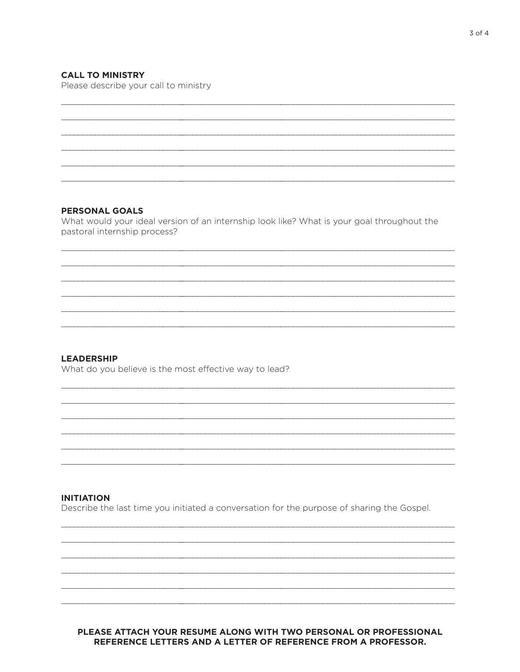## **CALL TO MINISTRY**

Please describe your call to ministry

#### **PERSONAL GOALS**

What would your ideal version of an internship look like? What is your goal throughout the pastoral internship process?

#### **LEADERSHIP**

What do you believe is the most effective way to lead?

### **INITIATION**

Describe the last time you initiated a conversation for the purpose of sharing the Gospel.

### PLEASE ATTACH YOUR RESUME ALONG WITH TWO PERSONAL OR PROFESSIONAL REFERENCE LETTERS AND A LETTER OF REFERENCE FROM A PROFESSOR.